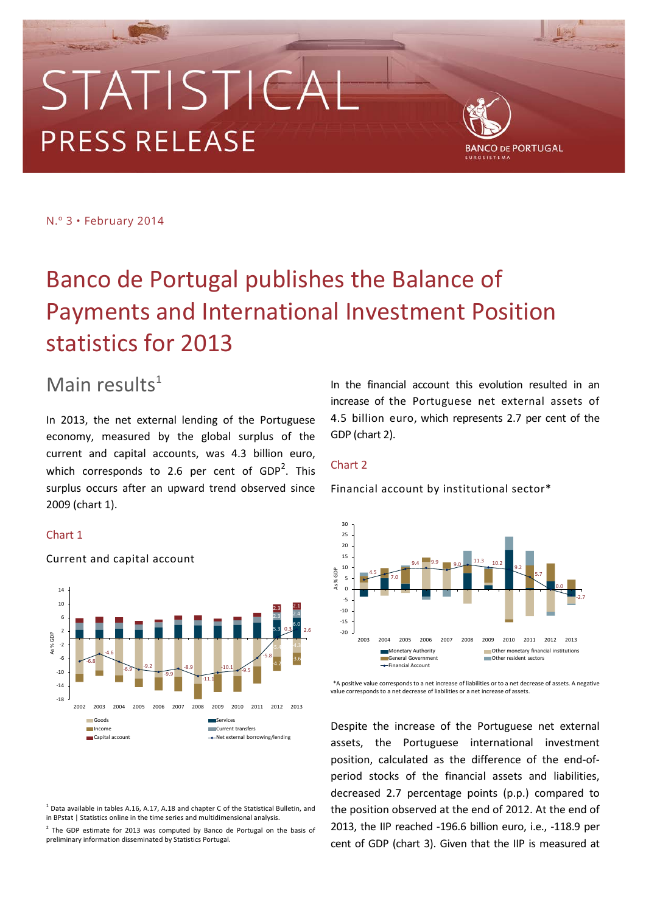# STATISTICA **PRESS RELEASE**



N.º 3 • February 2014

## Banco de Portugal publishes the Balance of Payments and International Investment Position statistics for 2013

## Main results $1$

In 2013, the net external lending of the Portuguese economy, measured by the global surplus of the current and capital accounts, was 4.3 billion euro, which corresponds to [2](#page-0-1).6 per cent of  $GDP<sup>2</sup>$ . This surplus occurs after an upward trend observed since 2009 (chart 1).

## Chart 1



Current and capital account

<span id="page-0-0"></span> $1$  Data available in tables A.16, A.17, A.18 and chapter C of the Statistical Bulletin, and in BPstat | Statistics online in the time series and multidimensional analysis.

<span id="page-0-1"></span><sup>2</sup> The GDP estimate for 2013 was computed by Banco de Portugal on the basis of preliminary information disseminated by Statistics Portugal.

In the financial account this evolution resulted in an increase of the Portuguese net external assets of 4.5 billion euro, which represents 2.7 per cent of the GDP (chart 2).

## Chart 2

Financial account by institutional sector\*



\*A positive value corresponds to a net increase of liabilities or to a net decrease of assets. A negative value corresponds to a net decrease of liabilities or a net increase of assets.

Despite the increase of the Portuguese net external assets, the Portuguese international investment position, calculated as the difference of the end-ofperiod stocks of the financial assets and liabilities, decreased 2.7 percentage points (p.p.) compared to the position observed at the end of 2012. At the end of 2013, the IIP reached -196.6 billion euro, i.e., -118.9 per cent of GDP (chart 3). Given that the IIP is measured at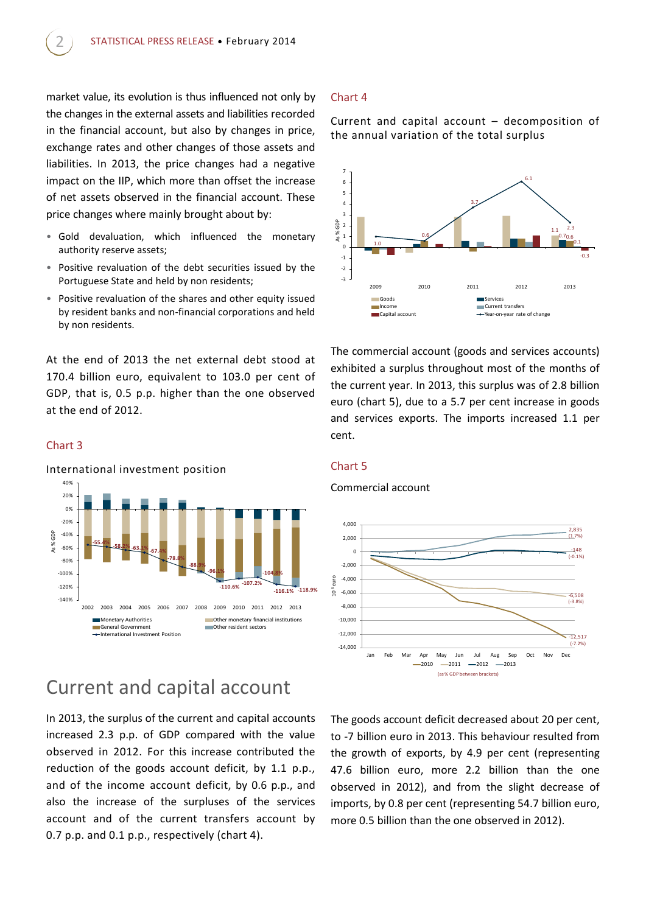market value, its evolution is thus influenced not only by the changes in the external assets and liabilities recorded in the financial account, but also by changes in price, exchange rates and other changes of those assets and liabilities. In 2013, the price changes had a negative impact on the IIP, which more than offset the increase of net assets observed in the financial account. These price changes where mainly brought about by:

- Gold devaluation, which influenced the monetary authority reserve assets;
- Positive revaluation of the debt securities issued by the Portuguese State and held by non residents;
- Positive revaluation of the shares and other equity issued by resident banks and non-financial corporations and held by non residents.

At the end of 2013 the net external debt stood at 170.4 billion euro, equivalent to 103.0 per cent of GDP, that is, 0.5 p.p. higher than the one observed at the end of 2012.

### Chart 3



## Current and capital account

In 2013, the surplus of the current and capital accounts increased 2.3 p.p. of GDP compared with the value observed in 2012. For this increase contributed the reduction of the goods account deficit, by 1.1 p.p., and of the income account deficit, by 0.6 p.p., and also the increase of the surpluses of the services account and of the current transfers account by 0.7 p.p. and 0.1 p.p., respectively (chart 4).

### Chart 4

Current and capital account – decomposition of the annual variation of the total surplus



The commercial account (goods and services accounts) exhibited a surplus throughout most of the months of the current year. In 2013, this surplus was of 2.8 billion euro (chart 5), due to a 5.7 per cent increase in goods and services exports. The imports increased 1.1 per cent.

#### Chart 5

#### Commercial account



The goods account deficit decreased about 20 per cent, to -7 billion euro in 2013. This behaviour resulted from the growth of exports, by 4.9 per cent (representing 47.6 billion euro, more 2.2 billion than the one observed in 2012), and from the slight decrease of imports, by 0.8 per cent (representing 54.7 billion euro, more 0.5 billion than the one observed in 2012).